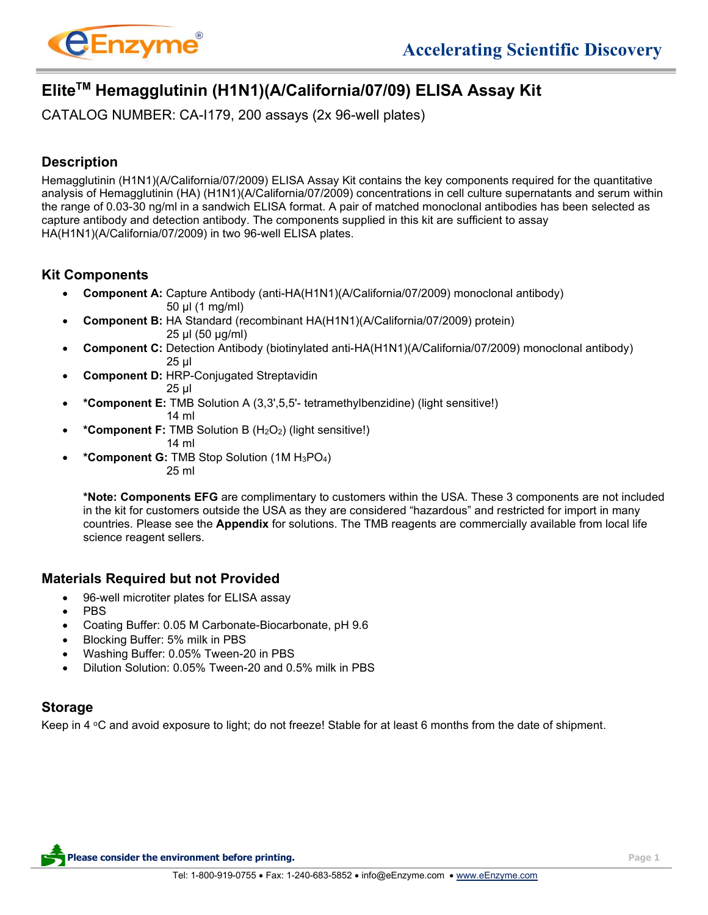

# **EliteTM Hemagglutinin (H1N1)(A/California/07/09) ELISA Assay Kit**

CATALOG NUMBER: CA-I179, 200 assays (2x 96-well plates)

# **Description**

Hemagglutinin (H1N1)(A/California/07/2009) ELISA Assay Kit contains the key components required for the quantitative analysis of Hemagglutinin (HA) (H1N1)(A/California/07/2009) concentrations in cell culture supernatants and serum within the range of 0.03-30 ng/ml in a sandwich ELISA format. A pair of matched monoclonal antibodies has been selected as capture antibody and detection antibody. The components supplied in this kit are sufficient to assay HA(H1N1)(A/California/07/2009) in two 96-well ELISA plates.

### **Kit Components**

- **Component A:** Capture Antibody (anti-HA(H1N1)(A/California/07/2009) monoclonal antibody) 50 µl (1 mg/ml)
- **Component B:** HA Standard (recombinant HA(H1N1)(A/California/07/2009) protein) 25 µl (50 µg/ml)
- **Component C:** Detection Antibody (biotinylated anti-HA(H1N1)(A/California/07/2009) monoclonal antibody) 25 µl
- **Component D:** HRP-Conjugated Streptavidin 25 µl
- **\*Component E:** TMB Solution A (3,3',5,5'- tetramethylbenzidine) (light sensitive!) 14 ml
- **\*Component F:** TMB Solution B (H2O2) (light sensitive!)
	- 14 ml
- **\*Component G:** TMB Stop Solution (1M H3PO4) 25 ml

**\*Note: Components EFG** are complimentary to customers within the USA. These 3 components are not included in the kit for customers outside the USA as they are considered "hazardous" and restricted for import in many countries. Please see the **Appendix** for solutions. The TMB reagents are commercially available from local life science reagent sellers.

#### **Materials Required but not Provided**

- 96-well microtiter plates for ELISA assay
- PBS
- Coating Buffer: 0.05 M Carbonate-Biocarbonate, pH 9.6
- Blocking Buffer: 5% milk in PBS
- Washing Buffer: 0.05% Tween-20 in PBS
- Dilution Solution: 0.05% Tween-20 and 0.5% milk in PBS

# **Storage**

Keep in 4  $\degree$ C and avoid exposure to light; do not freeze! Stable for at least 6 months from the date of shipment.

**Please consider the environment before printing. Page 1**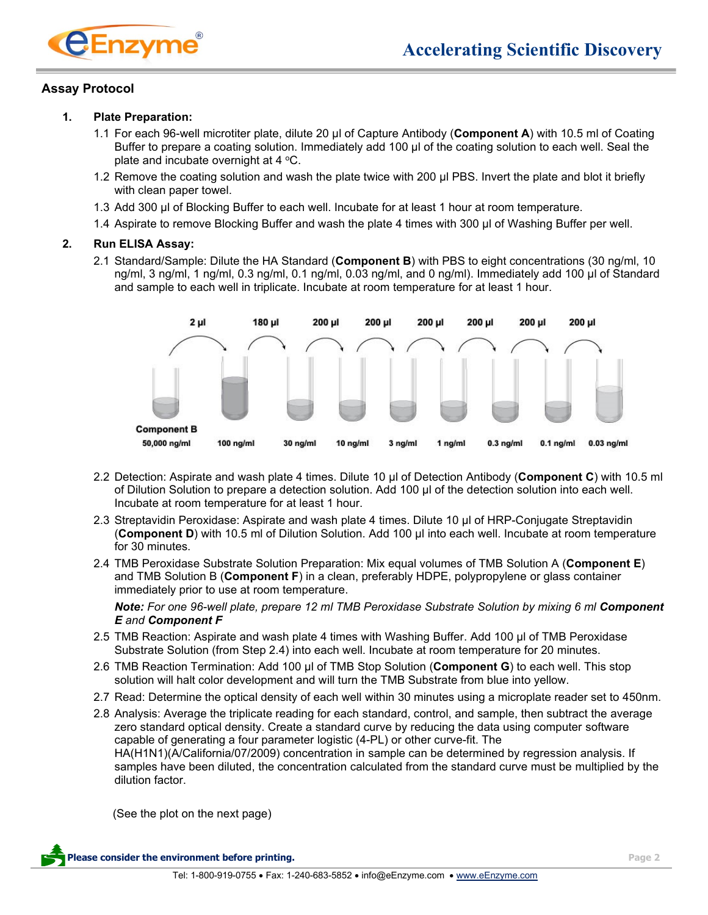

#### **Assay Protocol**

#### **1. Plate Preparation:**

- 1.1 For each 96-well microtiter plate, dilute 20 μl of Capture Antibody (**Component A**) with 10.5 ml of Coating Buffer to prepare a coating solution. Immediately add 100 μl of the coating solution to each well. Seal the plate and incubate overnight at  $4 \degree C$ .
- 1.2 Remove the coating solution and wash the plate twice with 200 μl PBS. Invert the plate and blot it briefly with clean paper towel.
- 1.3 Add 300 μl of Blocking Buffer to each well. Incubate for at least 1 hour at room temperature.
- 1.4 Aspirate to remove Blocking Buffer and wash the plate 4 times with 300 μl of Washing Buffer per well.

#### **2. Run ELISA Assay:**

2.1 Standard/Sample: Dilute the HA Standard (**Component B**) with PBS to eight concentrations (30 ng/ml, 10 ng/ml, 3 ng/ml, 1 ng/ml, 0.3 ng/ml, 0.1 ng/ml, 0.03 ng/ml, and 0 ng/ml). Immediately add 100 μl of Standard and sample to each well in triplicate. Incubate at room temperature for at least 1 hour.



- 2.2 Detection: Aspirate and wash plate 4 times. Dilute 10 μl of Detection Antibody (**Component C**) with 10.5 ml of Dilution Solution to prepare a detection solution. Add 100 μl of the detection solution into each well. Incubate at room temperature for at least 1 hour.
- 2.3 Streptavidin Peroxidase: Aspirate and wash plate 4 times. Dilute 10 μl of HRP-Conjugate Streptavidin (**Component D**) with 10.5 ml of Dilution Solution. Add 100 μl into each well. Incubate at room temperature for 30 minutes.
- 2.4 TMB Peroxidase Substrate Solution Preparation: Mix equal volumes of TMB Solution A (**Component E**) and TMB Solution B (**Component F**) in a clean, preferably HDPE, polypropylene or glass container immediately prior to use at room temperature.

*Note: For one 96-well plate, prepare 12 ml TMB Peroxidase Substrate Solution by mixing 6 ml Component E and Component F*

- 2.5 TMB Reaction: Aspirate and wash plate 4 times with Washing Buffer. Add 100 μl of TMB Peroxidase Substrate Solution (from Step 2.4) into each well. Incubate at room temperature for 20 minutes.
- 2.6 TMB Reaction Termination: Add 100 μl of TMB Stop Solution (**Component G**) to each well. This stop solution will halt color development and will turn the TMB Substrate from blue into yellow.
- 2.7 Read: Determine the optical density of each well within 30 minutes using a microplate reader set to 450nm.
- 2.8 Analysis: Average the triplicate reading for each standard, control, and sample, then subtract the average zero standard optical density. Create a standard curve by reducing the data using computer software capable of generating a four parameter logistic (4-PL) or other curve-fit. The HA(H1N1)(A/California/07/2009) concentration in sample can be determined by regression analysis. If samples have been diluted, the concentration calculated from the standard curve must be multiplied by the dilution factor.

(See the plot on the next page)

**Please consider the environment before printing. Page 2**